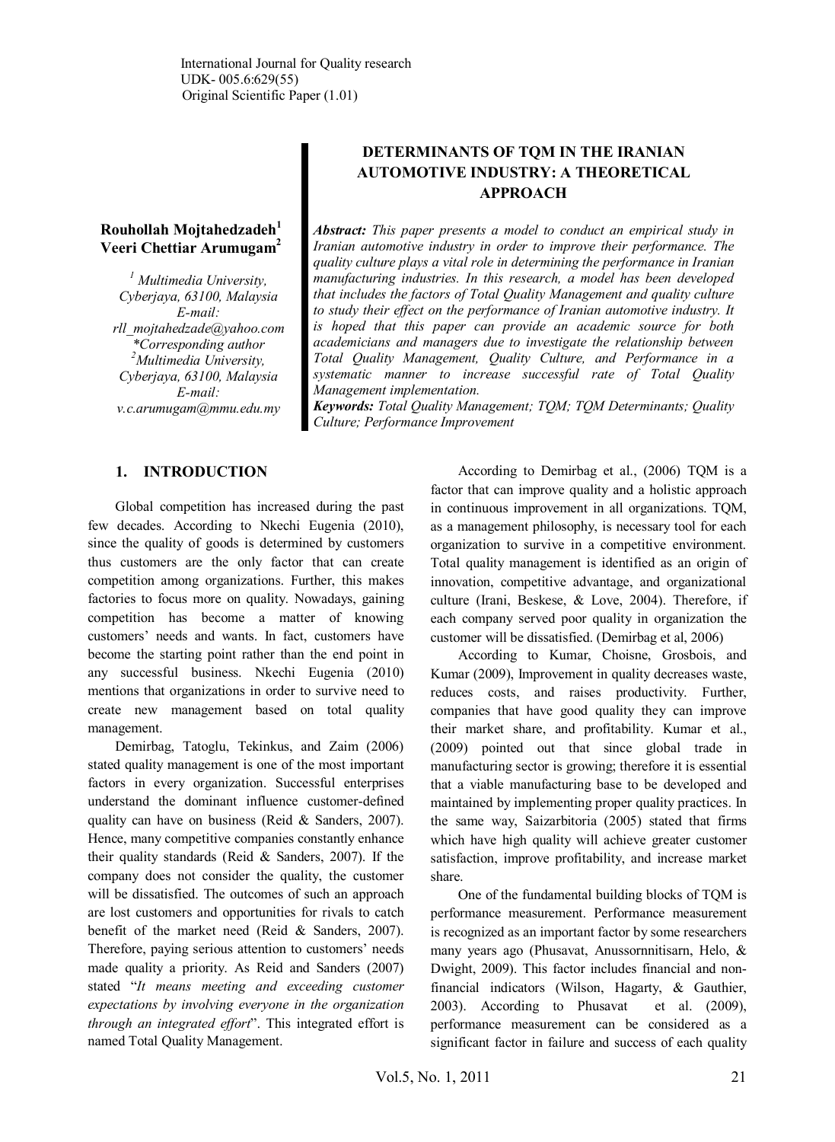## **Rouhollah Mojtahedzadeh<sup>1</sup> Veeri Chettiar Arumugam<sup>2</sup>**

*1 Multimedia University, Cyberjaya, 63100, Malaysia E-mail: rll\_mojtahedzade@yahoo.com \*Corresponding author <sup>2</sup>Multimedia University, Cyberjaya, 63100, Malaysia E-mail: v.c.arumugam@mmu.edu.my*

# **DETERMINANTS OF TQM IN THE IRANIAN AUTOMOTIVE INDUSTRY: A THEORETICAL APPROACH**

*Abstract: This paper presents a model to conduct an empirical study in Iranian automotive industry in order to improve their performance. The quality culture plays a vital role in determining the performance in Iranian manufacturing industries. In this research, a model has been developed that includes the factors of Total Quality Management and quality culture to study their effect on the performance of Iranian automotive industry. It is hoped that this paper can provide an academic source for both academicians and managers due to investigate the relationship between Total Quality Management, Quality Culture, and Performance in a systematic manner to increase successful rate of Total Quality Management implementation.*

*Keywords: Total Quality Management; TQM; TQM Determinants; Quality Culture; Performance Improvement*

## **1. INTRODUCTION**

Global competition has increased during the past few decades. According to Nkechi Eugenia (2010), since the quality of goods is determined by customers thus customers are the only factor that can create competition among organizations. Further, this makes factories to focus more on quality. Nowadays, gaining competition has become a matter of knowing customers' needs and wants. In fact, customers have become the starting point rather than the end point in any successful business. Nkechi Eugenia (2010) mentions that organizations in order to survive need to create new management based on total quality management.

Demirbag, Tatoglu, Tekinkus, and Zaim (2006) stated quality management is one of the most important factors in every organization. Successful enterprises understand the dominant influence customer-defined quality can have on business (Reid & Sanders, 2007). Hence, many competitive companies constantly enhance their quality standards (Reid & Sanders, 2007). If the company does not consider the quality, the customer will be dissatisfied. The outcomes of such an approach are lost customers and opportunities for rivals to catch benefit of the market need (Reid & Sanders, 2007). Therefore, paying serious attention to customers' needs made quality a priority. As Reid and Sanders (2007) stated "*It means meeting and exceeding customer expectations by involving everyone in the organization through an integrated effort*". This integrated effort is named Total Quality Management.

According to Demirbag et al., (2006) TQM is a factor that can improve quality and a holistic approach in continuous improvement in all organizations. TQM, as a management philosophy, is necessary tool for each organization to survive in a competitive environment. Total quality management is identified as an origin of innovation, competitive advantage, and organizational culture (Irani, Beskese, & Love, 2004). Therefore, if each company served poor quality in organization the customer will be dissatisfied. (Demirbag et al, 2006)

According to Kumar, Choisne, Grosbois, and Kumar (2009), Improvement in quality decreases waste, reduces costs, and raises productivity. Further, companies that have good quality they can improve their market share, and profitability. Kumar et al., (2009) pointed out that since global trade in manufacturing sector is growing; therefore it is essential that a viable manufacturing base to be developed and maintained by implementing proper quality practices. In the same way, Saizarbitoria (2005) stated that firms which have high quality will achieve greater customer satisfaction, improve profitability, and increase market share.

One of the fundamental building blocks of TQM is performance measurement. Performance measurement is recognized as an important factor by some researchers many years ago (Phusavat, Anussornnitisarn, Helo, & Dwight, 2009). This factor includes financial and nonfinancial indicators (Wilson, Hagarty, & Gauthier, 2003). According to Phusavat et al. (2009), performance measurement can be considered as a significant factor in failure and success of each quality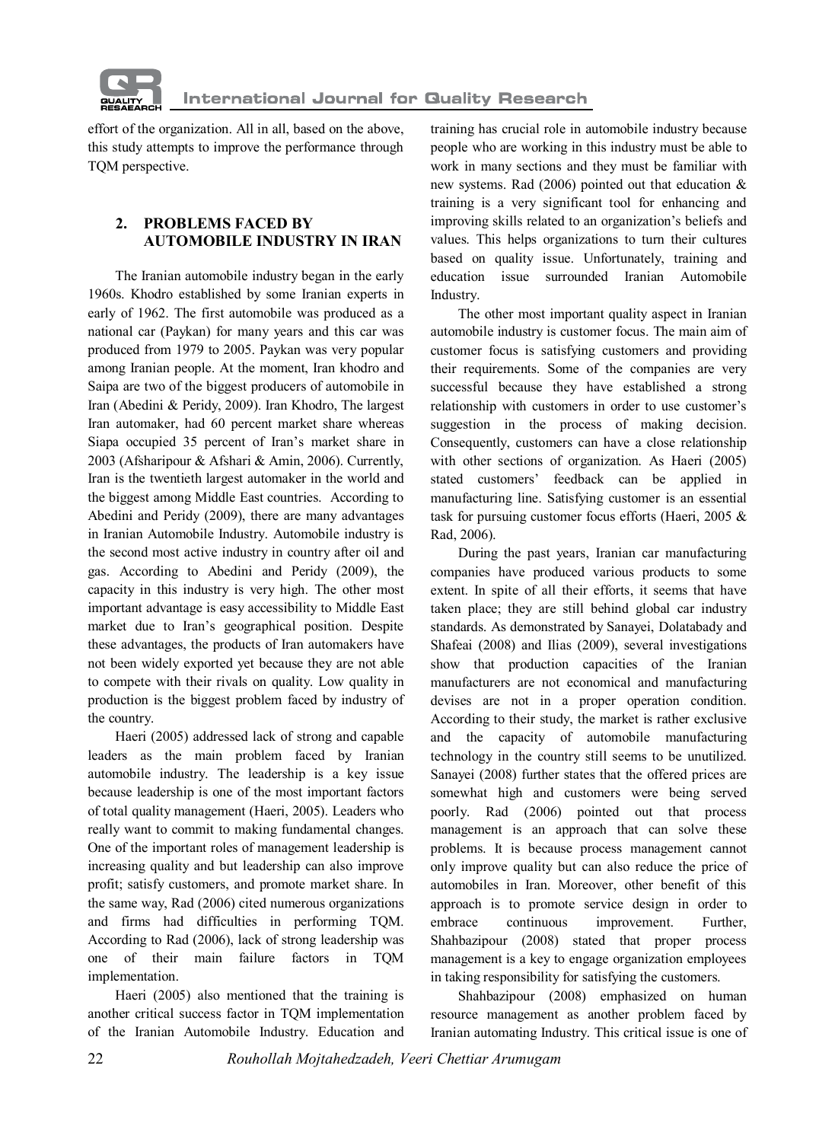

effort of the organization. All in all, based on the above, this study attempts to improve the performance through TQM perspective.

## **2. PROBLEMS FACED BY AUTOMOBILE INDUSTRY IN IRAN**

The Iranian automobile industry began in the early 1960s. Khodro established by some Iranian experts in early of 1962. The first automobile was produced as a national car (Paykan) for many years and this car was produced from 1979 to 2005. Paykan was very popular among Iranian people. At the moment, Iran khodro and Saipa are two of the biggest producers of automobile in Iran (Abedini & Peridy, 2009). Iran Khodro, The largest Iran automaker, had 60 percent market share whereas Siapa occupied 35 percent of Iran's market share in 2003 (Afsharipour & Afshari & Amin, 2006). Currently, Iran is the twentieth largest automaker in the world and the biggest among Middle East countries. According to Abedini and Peridy (2009), there are many advantages in Iranian Automobile Industry. Automobile industry is the second most active industry in country after oil and gas. According to Abedini and Peridy (2009), the capacity in this industry is very high. The other most important advantage is easy accessibility to Middle East market due to Iran's geographical position. Despite these advantages, the products of Iran automakers have not been widely exported yet because they are not able to compete with their rivals on quality. Low quality in production is the biggest problem faced by industry of the country.

Haeri (2005) addressed lack of strong and capable leaders as the main problem faced by Iranian automobile industry. The leadership is a key issue because leadership is one of the most important factors of total quality management (Haeri, 2005). Leaders who really want to commit to making fundamental changes. One of the important roles of management leadership is increasing quality and but leadership can also improve profit; satisfy customers, and promote market share. In the same way, Rad (2006) cited numerous organizations and firms had difficulties in performing TQM. According to Rad (2006), lack of strong leadership was one of their main failure factors in TQM implementation.

Haeri (2005) also mentioned that the training is another critical success factor in TQM implementation of the Iranian Automobile Industry. Education and

training has crucial role in automobile industry because people who are working in this industry must be able to work in many sections and they must be familiar with new systems. Rad (2006) pointed out that education & training is a very significant tool for enhancing and improving skills related to an organization's beliefs and values. This helps organizations to turn their cultures based on quality issue. Unfortunately, training and education issue surrounded Iranian Automobile Industry.

The other most important quality aspect in Iranian automobile industry is customer focus. The main aim of customer focus is satisfying customers and providing their requirements. Some of the companies are very successful because they have established a strong relationship with customers in order to use customer's suggestion in the process of making decision. Consequently, customers can have a close relationship with other sections of organization. As Haeri (2005) stated customers' feedback can be applied in manufacturing line. Satisfying customer is an essential task for pursuing customer focus efforts (Haeri, 2005 & Rad, 2006).

During the past years, Iranian car manufacturing companies have produced various products to some extent. In spite of all their efforts, it seems that have taken place; they are still behind global car industry standards. As demonstrated by Sanayei, Dolatabady and Shafeai (2008) and Ilias (2009), several investigations show that production capacities of the Iranian manufacturers are not economical and manufacturing devises are not in a proper operation condition. According to their study, the market is rather exclusive and the capacity of automobile manufacturing technology in the country still seems to be unutilized. Sanayei (2008) further states that the offered prices are somewhat high and customers were being served poorly. Rad (2006) pointed out that process management is an approach that can solve these problems. It is because process management cannot only improve quality but can also reduce the price of automobiles in Iran. Moreover, other benefit of this approach is to promote service design in order to embrace continuous improvement. Further, Shahbazipour (2008) stated that proper process management is a key to engage organization employees in taking responsibility for satisfying the customers.

Shahbazipour (2008) emphasized on human resource management as another problem faced by Iranian automating Industry. This critical issue is one of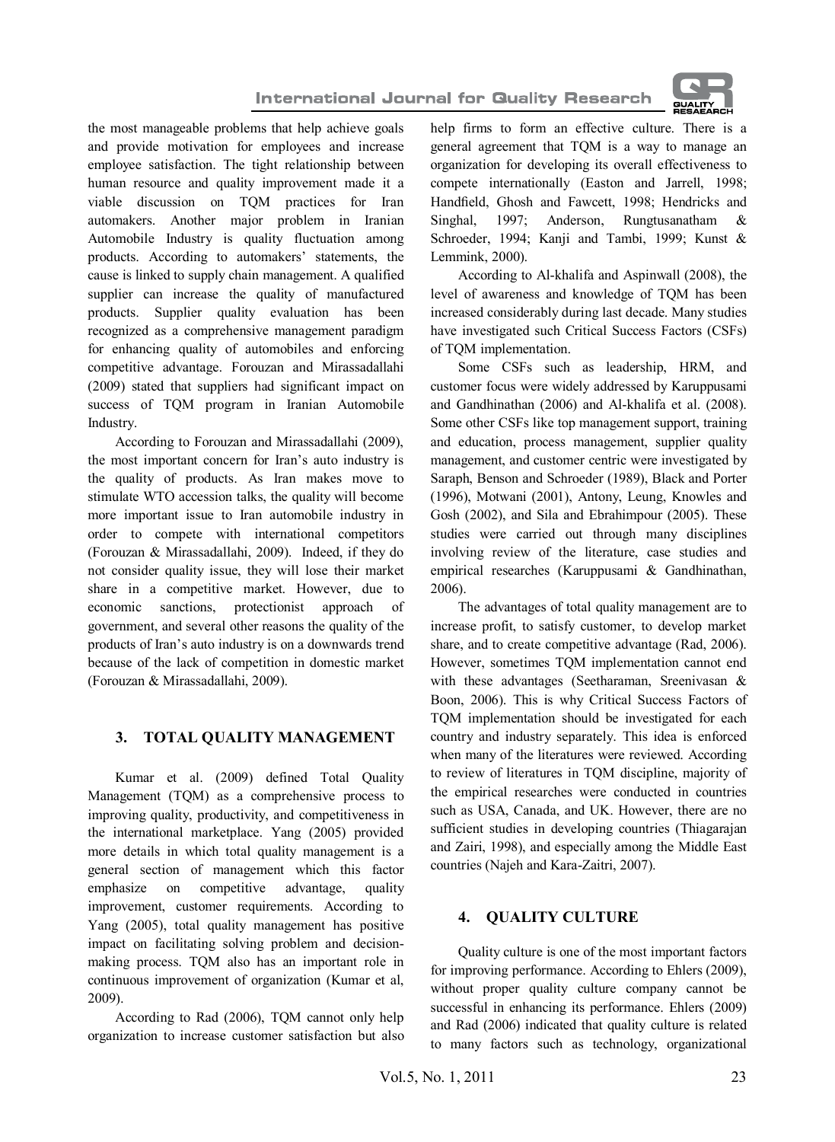



the most manageable problems that help achieve goals and provide motivation for employees and increase employee satisfaction. The tight relationship between human resource and quality improvement made it a viable discussion on TQM practices for Iran automakers. Another major problem in Iranian Automobile Industry is quality fluctuation among products. According to automakers' statements, the cause is linked to supply chain management. A qualified supplier can increase the quality of manufactured products. Supplier quality evaluation has been recognized as a comprehensive management paradigm for enhancing quality of automobiles and enforcing competitive advantage. Forouzan and Mirassadallahi (2009) stated that suppliers had significant impact on success of TOM program in Iranian Automobile Industry.

According to Forouzan and Mirassadallahi (2009), the most important concern for Iran's auto industry is the quality of products. As Iran makes move to stimulate WTO accession talks, the quality will become more important issue to Iran automobile industry in order to compete with international competitors (Forouzan & Mirassadallahi, 2009). Indeed, if they do not consider quality issue, they will lose their market share in a competitive market. However, due to economic sanctions, protectionist approach of government, and several other reasons the quality of the products of Iran's auto industry is on a downwards trend because of the lack of competition in domestic market (Forouzan & Mirassadallahi, 2009).

## **3. TOTAL QUALITY MANAGEMENT**

Kumar et al. (2009) defined Total Quality Management (TQM) as a comprehensive process to improving quality, productivity, and competitiveness in the international marketplace. Yang (2005) provided more details in which total quality management is a general section of management which this factor emphasize on competitive advantage, quality improvement, customer requirements. According to Yang (2005), total quality management has positive impact on facilitating solving problem and decisionmaking process. TQM also has an important role in continuous improvement of organization (Kumar et al, 2009).

According to Rad (2006), TQM cannot only help organization to increase customer satisfaction but also help firms to form an effective culture. There is a general agreement that TQM is a way to manage an organization for developing its overall effectiveness to compete internationally (Easton and Jarrell, 1998; Handfield, Ghosh and Fawcett, 1998; Hendricks and Singhal, 1997; Anderson, Rungtusanatham & Schroeder, 1994; Kanji and Tambi, 1999; Kunst & Lemmink, 2000).

According to Al-khalifa and Aspinwall (2008), the level of awareness and knowledge of TQM has been increased considerably during last decade. Many studies have investigated such Critical Success Factors (CSFs) of TQM implementation.

Some CSFs such as leadership, HRM, and customer focus were widely addressed by Karuppusami and Gandhinathan (2006) and Al-khalifa et al. (2008). Some other CSFs like top management support, training and education, process management, supplier quality management, and customer centric were investigated by Saraph, Benson and Schroeder (1989), Black and Porter (1996), Motwani (2001), Antony, Leung, Knowles and Gosh (2002), and Sila and Ebrahimpour (2005). These studies were carried out through many disciplines involving review of the literature, case studies and empirical researches (Karuppusami & Gandhinathan, 2006).

The advantages of total quality management are to increase profit, to satisfy customer, to develop market share, and to create competitive advantage (Rad, 2006). However, sometimes TQM implementation cannot end with these advantages (Seetharaman, Sreenivasan & Boon, 2006). This is why Critical Success Factors of TQM implementation should be investigated for each country and industry separately. This idea is enforced when many of the literatures were reviewed. According to review of literatures in TQM discipline, majority of the empirical researches were conducted in countries such as USA, Canada, and UK. However, there are no sufficient studies in developing countries (Thiagarajan and Zairi, 1998), and especially among the Middle East countries (Najeh and Kara-Zaitri, 2007).

## **4. QUALITY CULTURE**

Quality culture is one of the most important factors for improving performance. According to Ehlers (2009), without proper quality culture company cannot be successful in enhancing its performance. Ehlers (2009) and Rad (2006) indicated that quality culture is related to many factors such as technology, organizational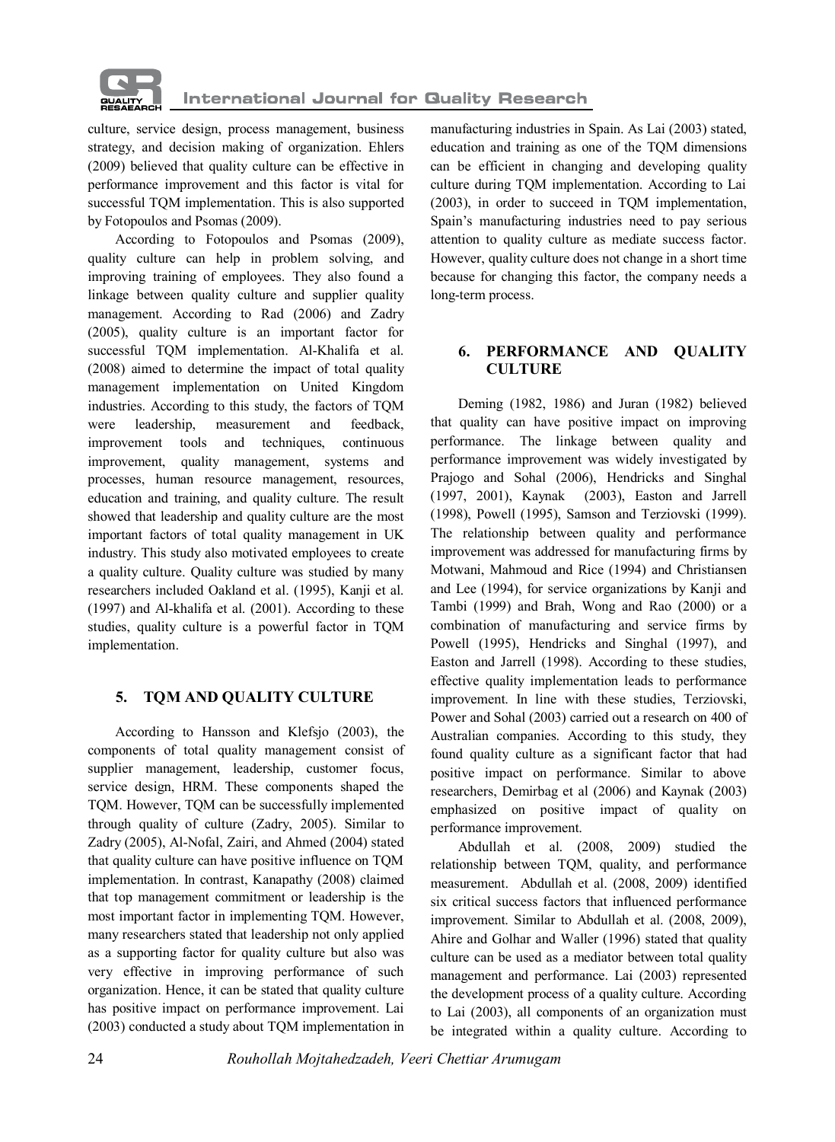

culture, service design, process management, business strategy, and decision making of organization. Ehlers (2009) believed that quality culture can be effective in performance improvement and this factor is vital for successful TQM implementation. This is also supported by Fotopoulos and Psomas (2009).

According to Fotopoulos and Psomas (2009), quality culture can help in problem solving, and improving training of employees. They also found a linkage between quality culture and supplier quality management. According to Rad (2006) and Zadry (2005), quality culture is an important factor for successful TQM implementation. Al-Khalifa et al. (2008) aimed to determine the impact of total quality management implementation on United Kingdom industries. According to this study, the factors of TQM were leadership, measurement and feedback, improvement tools and techniques, continuous improvement, quality management, systems and processes, human resource management, resources, education and training, and quality culture. The result showed that leadership and quality culture are the most important factors of total quality management in UK industry. This study also motivated employees to create a quality culture. Quality culture was studied by many researchers included Oakland et al. (1995), Kanji et al. (1997) and Al-khalifa et al. (2001). According to these studies, quality culture is a powerful factor in TQM implementation.

#### **5. TQM AND QUALITY CULTURE**

According to Hansson and Klefsjo (2003), the components of total quality management consist of supplier management, leadership, customer focus, service design, HRM. These components shaped the TQM. However, TQM can be successfully implemented through quality of culture (Zadry, 2005). Similar to Zadry (2005), Al-Nofal, Zairi, and Ahmed (2004) stated that quality culture can have positive influence on TQM implementation. In contrast, Kanapathy (2008) claimed that top management commitment or leadership is the most important factor in implementing TQM. However, many researchers stated that leadership not only applied as a supporting factor for quality culture but also was very effective in improving performance of such organization. Hence, it can be stated that quality culture has positive impact on performance improvement. Lai (2003) conducted a study about TQM implementation in

manufacturing industries in Spain. As Lai (2003) stated, education and training as one of the TQM dimensions can be efficient in changing and developing quality culture during TQM implementation. According to Lai (2003), in order to succeed in TQM implementation, Spain's manufacturing industries need to pay serious attention to quality culture as mediate success factor. However, quality culture does not change in a short time because for changing this factor, the company needs a long-term process.

#### **6. PERFORMANCE AND QUALITY CULTURE**

Deming (1982, 1986) and Juran (1982) believed that quality can have positive impact on improving performance. The linkage between quality and performance improvement was widely investigated by Prajogo and Sohal (2006), Hendricks and Singhal (1997, 2001), Kaynak (2003), Easton and Jarrell (1998), Powell (1995), Samson and Terziovski (1999). The relationship between quality and performance improvement was addressed for manufacturing firms by Motwani, Mahmoud and Rice (1994) and Christiansen and Lee (1994), for service organizations by Kanji and Tambi (1999) and Brah, Wong and Rao (2000) or a combination of manufacturing and service firms by Powell (1995), Hendricks and Singhal (1997), and Easton and Jarrell (1998). According to these studies, effective quality implementation leads to performance improvement. In line with these studies, Terziovski, Power and Sohal (2003) carried out a research on 400 of Australian companies. According to this study, they found quality culture as a significant factor that had positive impact on performance. Similar to above researchers, Demirbag et al (2006) and Kaynak (2003) emphasized on positive impact of quality on performance improvement.

Abdullah et al. (2008, 2009) studied the relationship between TQM, quality, and performance measurement. Abdullah et al. (2008, 2009) identified six critical success factors that influenced performance improvement. Similar to Abdullah et al. (2008, 2009), Ahire and Golhar and Waller (1996) stated that quality culture can be used as a mediator between total quality management and performance. Lai (2003) represented the development process of a quality culture. According to Lai (2003), all components of an organization must be integrated within a quality culture. According to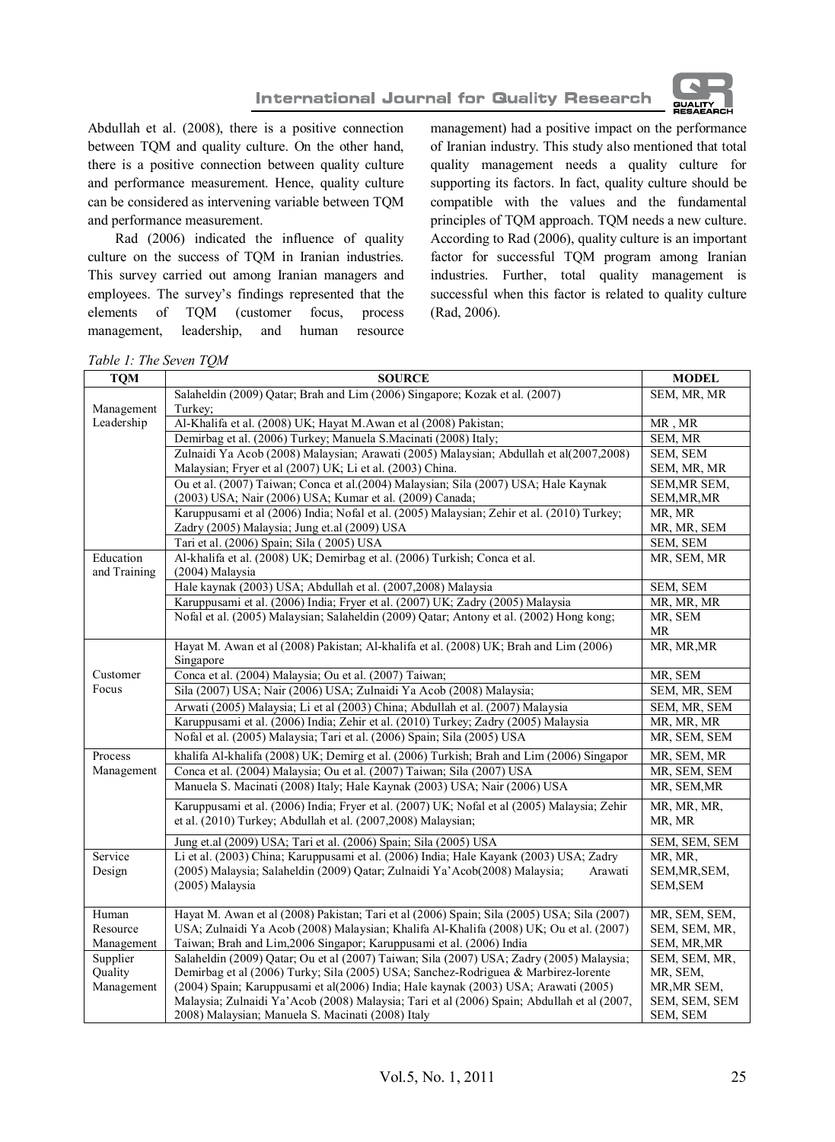



Abdullah et al. (2008), there is a positive connection between TQM and quality culture. On the other hand, there is a positive connection between quality culture and performance measurement. Hence, quality culture can be considered as intervening variable between TQM and performance measurement.

Rad (2006) indicated the influence of quality culture on the success of TQM in Iranian industries. This survey carried out among Iranian managers and employees. The survey's findings represented that the elements of TQM (customer focus, process management, leadership, and human resource

management) had a positive impact on the performance of Iranian industry. This study also mentioned that total quality management needs a quality culture for supporting its factors. In fact, quality culture should be compatible with the values and the fundamental principles of TQM approach. TQM needs a new culture. According to Rad (2006), quality culture is an important factor for successful TQM program among Iranian industries. Further, total quality management is successful when this factor is related to quality culture (Rad, 2006).

*Table 1: The Seven TQM*

| <b>TQM</b>   | <b>SOURCE</b>                                                                                                                                               | <b>MODEL</b>          |
|--------------|-------------------------------------------------------------------------------------------------------------------------------------------------------------|-----------------------|
|              | Salaheldin (2009) Qatar; Brah and Lim (2006) Singapore; Kozak et al. (2007)                                                                                 | SEM, MR, MR           |
| Management   | Turkey;                                                                                                                                                     |                       |
| Leadership   | Al-Khalifa et al. (2008) UK; Hayat M.Awan et al (2008) Pakistan;                                                                                            | MR, MR                |
|              | Demirbag et al. (2006) Turkey; Manuela S.Macinati (2008) Italy;                                                                                             | SEM, MR               |
|              | Zulnaidi Ya Acob (2008) Malaysian; Arawati (2005) Malaysian; Abdullah et al(2007,2008)                                                                      | SEM, SEM              |
|              | Malaysian; Fryer et al (2007) UK; Li et al. (2003) China.                                                                                                   | SEM, MR, MR           |
|              | Ou et al. (2007) Taiwan; Conca et al. (2004) Malaysian; Sila (2007) USA; Hale Kaynak                                                                        | SEM, MR SEM,          |
|              | (2003) USA; Nair (2006) USA; Kumar et al. (2009) Canada;                                                                                                    | SEM, MR, MR           |
|              | Karuppusami et al (2006) India; Nofal et al. (2005) Malaysian; Zehir et al. (2010) Turkey;                                                                  | MR, MR                |
|              | Zadry (2005) Malaysia; Jung et.al (2009) USA                                                                                                                | MR, MR, SEM           |
|              | Tari et al. (2006) Spain; Sila (2005) USA                                                                                                                   | SEM, SEM              |
| Education    | Al-khalifa et al. (2008) UK; Demirbag et al. (2006) Turkish; Conca et al.                                                                                   | MR, SEM, MR           |
| and Training | (2004) Malaysia                                                                                                                                             |                       |
|              | Hale kaynak (2003) USA; Abdullah et al. (2007,2008) Malaysia                                                                                                | SEM, SEM              |
|              | Karuppusami et al. (2006) India; Fryer et al. (2007) UK; Zadry (2005) Malaysia                                                                              | MR, MR, MR            |
|              | Nofal et al. (2005) Malaysian; Salaheldin (2009) Oatar; Antony et al. (2002) Hong kong;                                                                     | MR, SEM               |
|              |                                                                                                                                                             | MR                    |
|              | Hayat M. Awan et al (2008) Pakistan; Al-khalifa et al. (2008) UK; Brah and Lim (2006)<br>Singapore                                                          | MR, MR, MR            |
| Customer     | Conca et al. (2004) Malaysia; Ou et al. (2007) Taiwan;                                                                                                      | MR, SEM               |
| Focus        | Sila (2007) USA; Nair (2006) USA; Zulnaidi Ya Acob (2008) Malaysia;                                                                                         | SEM, MR, SEM          |
|              | Arwati (2005) Malaysia; Li et al (2003) China; Abdullah et al. (2007) Malaysia                                                                              | SEM, MR, SEM          |
|              | Karuppusami et al. (2006) India; Zehir et al. (2010) Turkey; Zadry (2005) Malaysia                                                                          | MR, MR, MR            |
|              | Nofal et al. (2005) Malaysia; Tari et al. (2006) Spain; Sila (2005) USA                                                                                     | MR, SEM, SEM          |
| Process      | khalifa Al-khalifa (2008) UK; Demirg et al. (2006) Turkish; Brah and Lim (2006) Singapor                                                                    | MR, SEM, MR           |
| Management   | Conca et al. (2004) Malaysia; Ou et al. (2007) Taiwan; Sila (2007) USA                                                                                      | MR, SEM, SEM          |
|              | Manuela S. Macinati (2008) Italy; Hale Kaynak (2003) USA; Nair (2006) USA                                                                                   | MR, SEM, MR           |
|              | Karuppusami et al. (2006) India; Fryer et al. (2007) UK; Nofal et al (2005) Malaysia; Zehir<br>et al. (2010) Turkey; Abdullah et al. (2007,2008) Malaysian; | MR, MR, MR,<br>MR, MR |
|              | Jung et.al (2009) USA; Tari et al. (2006) Spain; Sila (2005) USA                                                                                            | SEM, SEM, SEM         |
| Service      | Li et al. (2003) China; Karuppusami et al. (2006) India; Hale Kayank (2003) USA; Zadry                                                                      | MR, MR,               |
| Design       | (2005) Malaysia; Salaheldin (2009) Qatar; Zulnaidi Ya'Acob(2008) Malaysia;<br>Arawati                                                                       | SEM, MR, SEM,         |
|              | (2005) Malaysia                                                                                                                                             | <b>SEM, SEM</b>       |
| Human        | Hayat M. Awan et al (2008) Pakistan; Tari et al (2006) Spain; Sila (2005) USA; Sila (2007)                                                                  | MR, SEM, SEM,         |
| Resource     | USA; Zulnaidi Ya Acob (2008) Malaysian; Khalifa Al-Khalifa (2008) UK; Ou et al. (2007)                                                                      | SEM, SEM, MR,         |
| Management   | Taiwan; Brah and Lim, 2006 Singapor; Karuppusami et al. (2006) India                                                                                        | SEM, MR, MR           |
| Supplier     | Salaheldin (2009) Oatar; Ou et al (2007) Taiwan; Sila (2007) USA; Zadry (2005) Malaysia;                                                                    | SEM, SEM, MR,         |
| Quality      | Demirbag et al (2006) Turky; Sila (2005) USA; Sanchez-Rodriguea & Marbirez-lorente                                                                          | MR, SEM,              |
| Management   | (2004) Spain; Karuppusami et al(2006) India; Hale kaynak (2003) USA; Arawati (2005)                                                                         | MR, MR SEM,           |
|              | Malaysia; Zulnaidi Ya'Acob (2008) Malaysia; Tari et al (2006) Spain; Abdullah et al (2007,                                                                  | SEM, SEM, SEM         |
|              | 2008) Malaysian; Manuela S. Macinati (2008) Italy                                                                                                           | SEM, SEM              |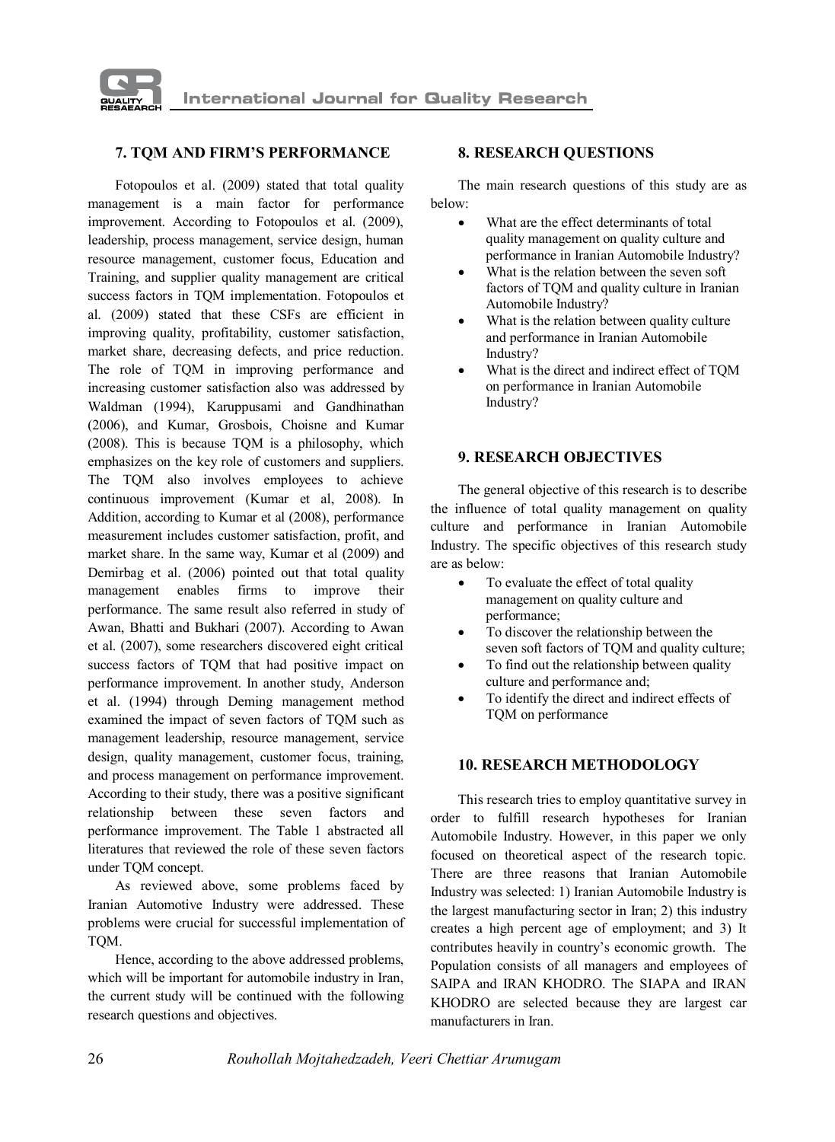

#### **7. TQM AND FIRM'S PERFORMANCE**

Fotopoulos et al. (2009) stated that total quality management is a main factor for performance improvement. According to Fotopoulos et al. (2009), leadership, process management, service design, human resource management, customer focus, Education and Training, and supplier quality management are critical success factors in TQM implementation. Fotopoulos et al. (2009) stated that these CSFs are efficient in improving quality, profitability, customer satisfaction, market share, decreasing defects, and price reduction. The role of TQM in improving performance and increasing customer satisfaction also was addressed by Waldman (1994), Karuppusami and Gandhinathan (2006), and Kumar, Grosbois, Choisne and Kumar (2008). This is because TQM is a philosophy, which emphasizes on the key role of customers and suppliers. The TQM also involves employees to achieve continuous improvement (Kumar et al, 2008). In Addition, according to Kumar et al (2008), performance measurement includes customer satisfaction, profit, and market share. In the same way, Kumar et al (2009) and Demirbag et al. (2006) pointed out that total quality management enables firms to improve their performance. The same result also referred in study of Awan, Bhatti and Bukhari (2007). According to Awan et al. (2007), some researchers discovered eight critical success factors of TQM that had positive impact on performance improvement. In another study, Anderson et al. (1994) through Deming management method examined the impact of seven factors of TQM such as management leadership, resource management, service design, quality management, customer focus, training, and process management on performance improvement. According to their study, there was a positive significant relationship between these seven factors and performance improvement. The Table 1 abstracted all literatures that reviewed the role of these seven factors under TQM concept.

As reviewed above, some problems faced by Iranian Automotive Industry were addressed. These problems were crucial for successful implementation of TQM.

Hence, according to the above addressed problems, which will be important for automobile industry in Iran, the current study will be continued with the following research questions and objectives.

#### **8. RESEARCH QUESTIONS**

The main research questions of this study are as below:

- · What are the effect determinants of total quality management on quality culture and performance in Iranian Automobile Industry?
- What is the relation between the seven soft factors of TQM and quality culture in Iranian Automobile Industry?
- · What is the relation between quality culture and performance in Iranian Automobile Industry?
- What is the direct and indirect effect of TQM on performance in Iranian Automobile Industry?

#### **9. RESEARCH OBJECTIVES**

The general objective of this research is to describe the influence of total quality management on quality culture and performance in Iranian Automobile Industry. The specific objectives of this research study are as below:

- To evaluate the effect of total quality management on quality culture and performance;
- · To discover the relationship between the seven soft factors of TQM and quality culture;
- · To find out the relationship between quality culture and performance and;
- To identify the direct and indirect effects of TQM on performance

#### **10. RESEARCH METHODOLOGY**

This research tries to employ quantitative survey in order to fulfill research hypotheses for Iranian Automobile Industry. However, in this paper we only focused on theoretical aspect of the research topic. There are three reasons that Iranian Automobile Industry was selected: 1) Iranian Automobile Industry is the largest manufacturing sector in Iran; 2) this industry creates a high percent age of employment; and 3) It contributes heavily in country's economic growth. The Population consists of all managers and employees of SAIPA and IRAN KHODRO. The SIAPA and IRAN KHODRO are selected because they are largest car manufacturers in Iran.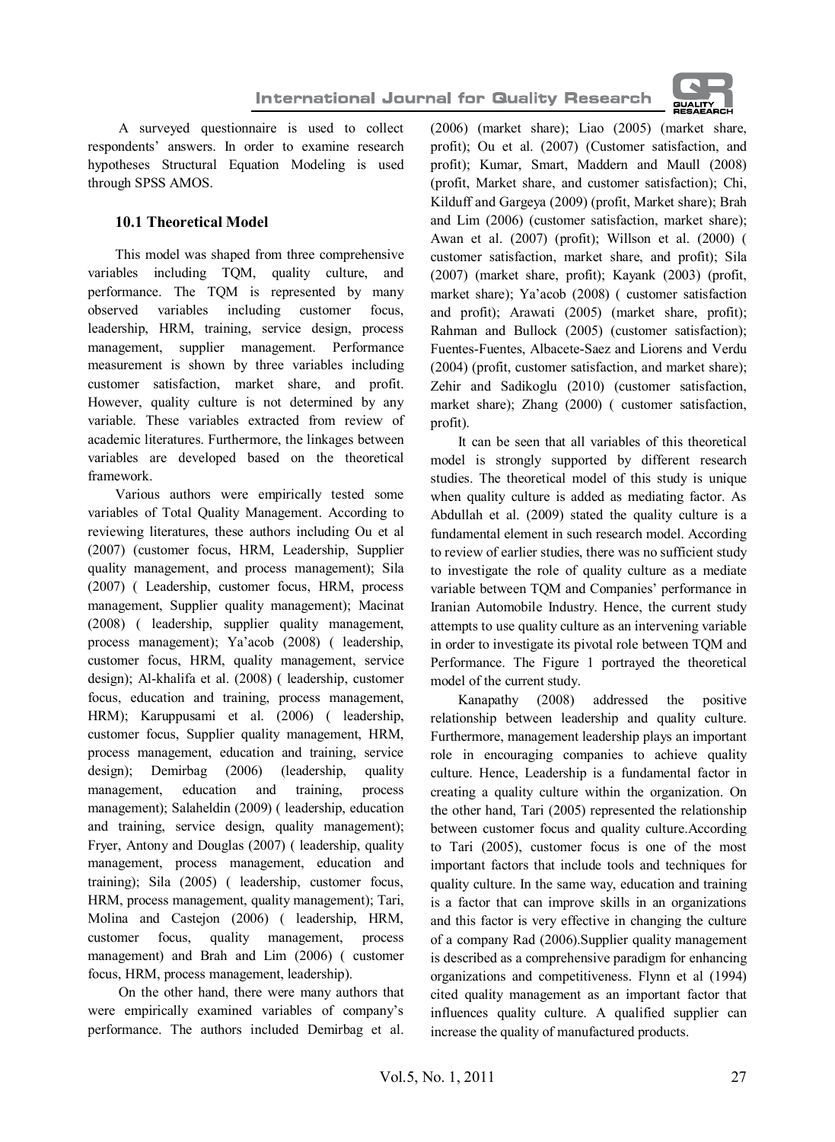

 A surveyed questionnaire is used to collect respondents' answers. In order to examine research hypotheses Structural Equation Modeling is used through SPSS AMOS.

## **10.1 Theoretical Model**

This model was shaped from three comprehensive variables including TQM, quality culture, and performance. The TQM is represented by many observed variables including customer focus, leadership, HRM, training, service design, process management, supplier management. Performance measurement is shown by three variables including customer satisfaction, market share, and profit. However, quality culture is not determined by any variable. These variables extracted from review of academic literatures. Furthermore, the linkages between variables are developed based on the theoretical framework.

Various authors were empirically tested some variables of Total Quality Management. According to reviewing literatures, these authors including Ou et al (2007) (customer focus, HRM, Leadership, Supplier quality management, and process management); Sila (2007) ( Leadership, customer focus, HRM, process management, Supplier quality management); Macinat (2008) ( leadership, supplier quality management, process management); Ya'acob (2008) ( leadership, customer focus, HRM, quality management, service design); Al-khalifa et al. (2008) ( leadership, customer focus, education and training, process management, HRM); Karuppusami et al. (2006) ( leadership, customer focus, Supplier quality management, HRM, process management, education and training, service design); Demirbag (2006) (leadership, quality management, education and training, process management); Salaheldin (2009) ( leadership, education and training, service design, quality management); Fryer, Antony and Douglas (2007) ( leadership, quality management, process management, education and training); Sila (2005) ( leadership, customer focus, HRM, process management, quality management); Tari, Molina and Castejon (2006) ( leadership, HRM, customer focus, quality management, process management) and Brah and Lim (2006) ( customer focus, HRM, process management, leadership).

 On the other hand, there were many authors that were empirically examined variables of company's performance. The authors included Demirbag et al.

(2006) (market share); Liao (2005) (market share, profit); Ou et al. (2007) (Customer satisfaction, and profit); Kumar, Smart, Maddern and Maull (2008) (profit, Market share, and customer satisfaction); Chi, Kilduff and Gargeya (2009) (profit, Market share); Brah and Lim (2006) (customer satisfaction, market share); Awan et al. (2007) (profit); Willson et al. (2000) ( customer satisfaction, market share, and profit); Sila (2007) (market share, profit); Kayank (2003) (profit, market share); Ya'acob (2008) ( customer satisfaction and profit); Arawati (2005) (market share, profit); Rahman and Bullock (2005) (customer satisfaction); Fuentes-Fuentes, Albacete-Saez and Liorens and Verdu (2004) (profit, customer satisfaction, and market share); Zehir and Sadikoglu (2010) (customer satisfaction, market share); Zhang (2000) ( customer satisfaction, profit).

It can be seen that all variables of this theoretical model is strongly supported by different research studies. The theoretical model of this study is unique when quality culture is added as mediating factor. As Abdullah et al. (2009) stated the quality culture is a fundamental element in such research model. According to review of earlier studies, there was no sufficient study to investigate the role of quality culture as a mediate variable between TQM and Companies' performance in Iranian Automobile Industry. Hence, the current study attempts to use quality culture as an intervening variable in order to investigate its pivotal role between TQM and Performance. The Figure 1 portrayed the theoretical model of the current study.

Kanapathy (2008) addressed the positive relationship between leadership and quality culture. Furthermore, management leadership plays an important role in encouraging companies to achieve quality culture. Hence, Leadership is a fundamental factor in creating a quality culture within the organization. On the other hand, Tari (2005) represented the relationship between customer focus and quality culture.According to Tari (2005), customer focus is one of the most important factors that include tools and techniques for quality culture. In the same way, education and training is a factor that can improve skills in an organizations and this factor is very effective in changing the culture of a company Rad (2006).Supplier quality management is described as a comprehensive paradigm for enhancing organizations and competitiveness. Flynn et al (1994) cited quality management as an important factor that influences quality culture. A qualified supplier can increase the quality of manufactured products.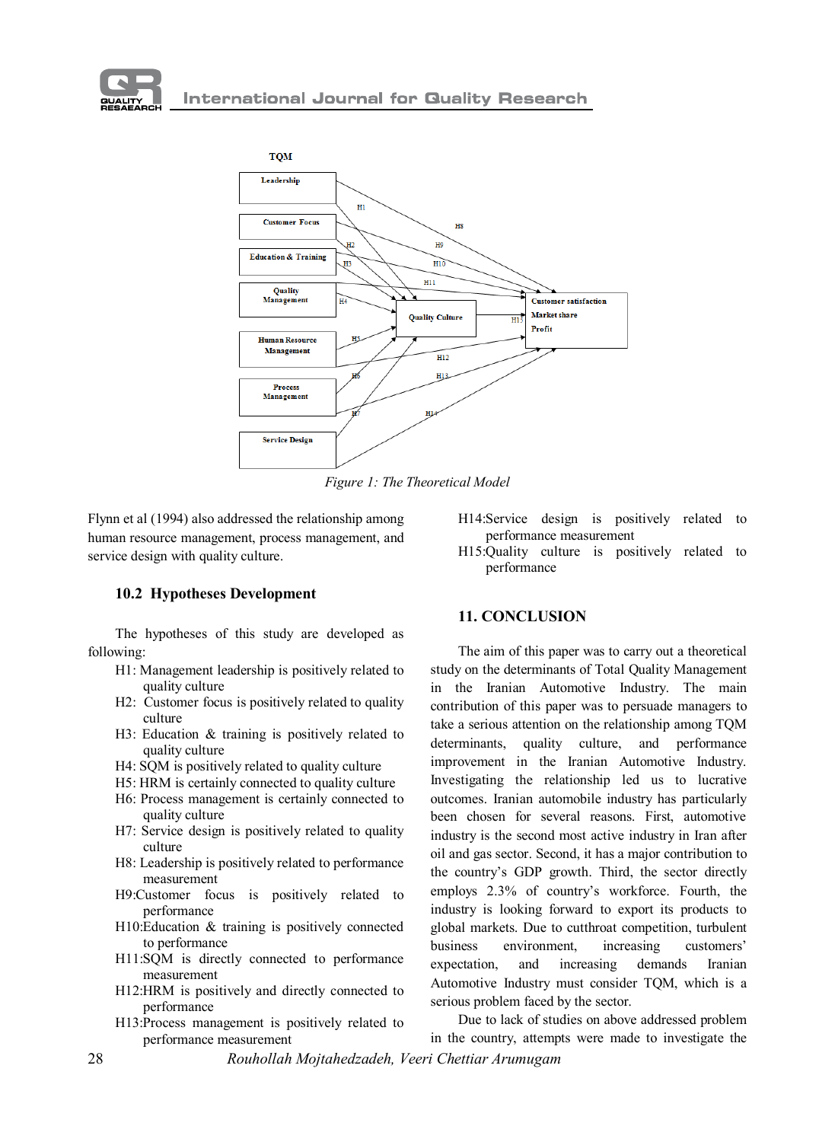



*Figure 1: The Theoretical Model*

Flynn et al (1994) also addressed the relationship among human resource management, process management, and service design with quality culture.

**10.2 Hypotheses Development**

The hypotheses of this study are developed as following:

- H1: Management leadership is positively related to quality culture
- H2: Customer focus is positively related to quality culture
- H3: Education & training is positively related to quality culture
- H4: SQM is positively related to quality culture
- H5: HRM is certainly connected to quality culture
- H6: Process management is certainly connected to quality culture
- H7: Service design is positively related to quality culture
- H8: Leadership is positively related to performance measurement
- H9:Customer focus is positively related to performance
- H10:Education & training is positively connected to performance
- H11:SQM is directly connected to performance measurement
- H12:HRM is positively and directly connected to performance
- H13:Process management is positively related to performance measurement
- H14:Service design is positively related to performance measurement
- H15:Quality culture is positively related to performance

#### **11. CONCLUSION**

The aim of this paper was to carry out a theoretical study on the determinants of Total Quality Management in the Iranian Automotive Industry. The main contribution of this paper was to persuade managers to take a serious attention on the relationship among TQM determinants, quality culture, and performance improvement in the Iranian Automotive Industry. Investigating the relationship led us to lucrative outcomes. Iranian automobile industry has particularly been chosen for several reasons. First, automotive industry is the second most active industry in Iran after oil and gas sector. Second, it has a major contribution to the country's GDP growth. Third, the sector directly employs 2.3% of country's workforce. Fourth, the industry is looking forward to export its products to global markets. Due to cutthroat competition, turbulent business environment, increasing customers' expectation, and increasing demands Iranian Automotive Industry must consider TQM, which is a serious problem faced by the sector.

28 *Rouhollah Mojtahedzadeh, Veeri Chettiar Arumugam* Due to lack of studies on above addressed problem in the country, attempts were made to investigate the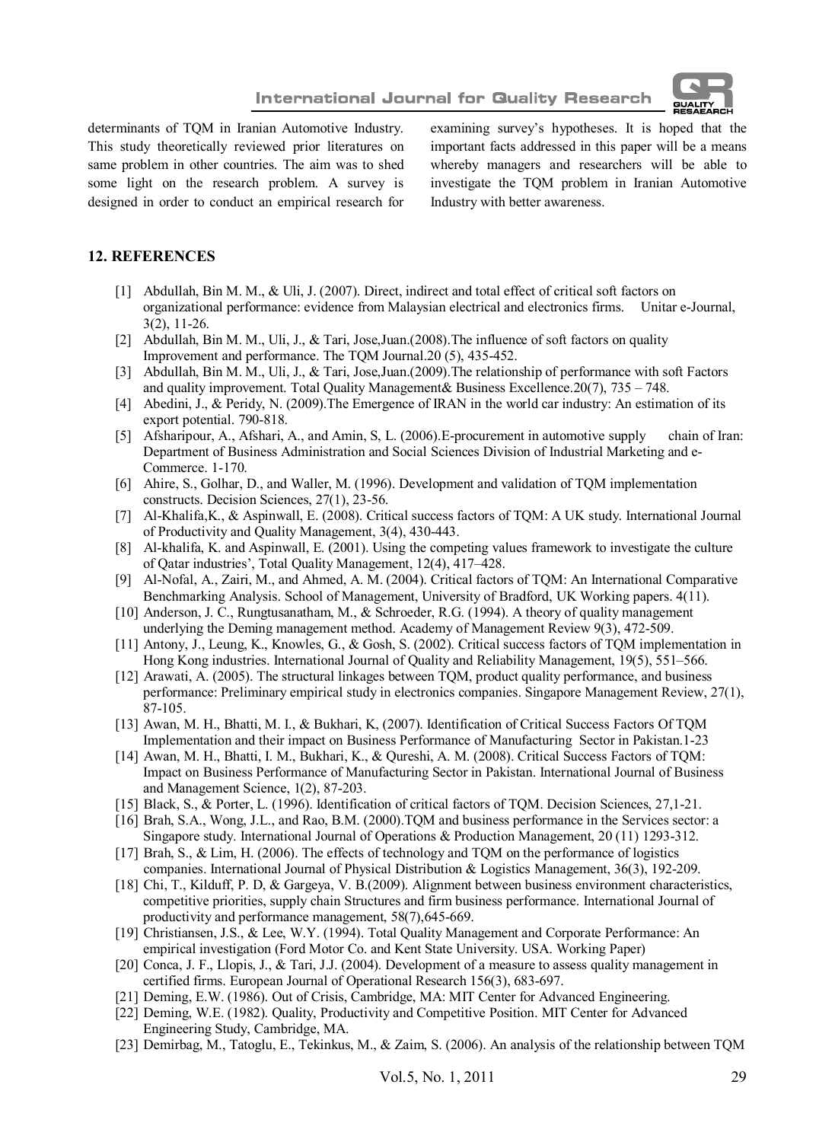

**International Journal for Quality Research** 

determinants of TQM in Iranian Automotive Industry. This study theoretically reviewed prior literatures on same problem in other countries. The aim was to shed some light on the research problem. A survey is designed in order to conduct an empirical research for examining survey's hypotheses. It is hoped that the important facts addressed in this paper will be a means whereby managers and researchers will be able to investigate the TQM problem in Iranian Automotive Industry with better awareness.

### **12. REFERENCES**

- [1] Abdullah, Bin M. M., & Uli, J. (2007). Direct, indirect and total effect of critical soft factors on organizational performance: evidence from Malaysian electrical and electronics firms. Unitar e-Journal, 3(2), 11-26.
- [2] Abdullah, Bin M. M., Uli, J., & Tari, Jose,Juan.(2008).The influence of soft factors on quality Improvement and performance. The TQM Journal.20 (5), 435-452.
- [3] Abdullah, Bin M. M., Uli, J., & Tari, Jose,Juan.(2009).The relationship of performance with soft Factors and quality improvement. Total Quality Management& Business Excellence.20(7), 735 – 748.
- [4] Abedini, J., & Peridy, N. (2009). The Emergence of IRAN in the world car industry: An estimation of its export potential. 790-818.
- [5] Afsharipour, A., Afshari, A., and Amin, S, L. (2006).E-procurement in automotive supply chain of Iran: Department of Business Administration and Social Sciences Division of Industrial Marketing and e-Commerce. 1-170.
- [6] Ahire, S., Golhar, D., and Waller, M. (1996). Development and validation of TQM implementation constructs. Decision Sciences, 27(1), 23-56.
- [7] Al-Khalifa,K., & Aspinwall, E. (2008). Critical success factors of TQM: A UK study. International Journal of Productivity and Quality Management, 3(4), 430-443.
- [8] Al-khalifa, K. and Aspinwall, E. (2001). Using the competing values framework to investigate the culture of Qatar industries', Total Quality Management, 12(4), 417–428.
- [9] Al-Nofal, A., Zairi, M., and Ahmed, A. M. (2004). Critical factors of TQM: An International Comparative Benchmarking Analysis. School of Management, University of Bradford, UK Working papers. 4(11).
- [10] Anderson, J. C., Rungtusanatham, M., & Schroeder, R.G. (1994). A theory of quality management underlying the Deming management method. Academy of Management Review 9(3), 472-509.
- [11] Antony, J., Leung, K., Knowles, G., & Gosh, S. (2002). Critical success factors of TQM implementation in Hong Kong industries. International Journal of Quality and Reliability Management, 19(5), 551–566.
- [12] Arawati, A. (2005). The structural linkages between TQM, product quality performance, and business performance: Preliminary empirical study in electronics companies. Singapore Management Review, 27(1), 87-105.
- [13] Awan, M. H., Bhatti, M. I., & Bukhari, K, (2007). Identification of Critical Success Factors Of TQM Implementation and their impact on Business Performance of Manufacturing Sector in Pakistan.1-23
- [14] Awan, M. H., Bhatti, I. M., Bukhari, K., & Qureshi, A. M. (2008). Critical Success Factors of TQM: Impact on Business Performance of Manufacturing Sector in Pakistan. International Journal of Business and Management Science, 1(2), 87-203.
- [15] Black, S., & Porter, L. (1996). Identification of critical factors of TQM. Decision Sciences, 27,1-21.
- [16] Brah, S.A., Wong, J.L., and Rao, B.M. (2000).TQM and business performance in the Services sector: a Singapore study. International Journal of Operations & Production Management, 20 (11) 1293-312.
- [17] Brah, S., & Lim, H. (2006). The effects of technology and TQM on the performance of logistics companies. International Journal of Physical Distribution & Logistics Management, 36(3), 192-209.
- [18] Chi, T., Kilduff, P. D, & Gargeya, V. B.(2009). Alignment between business environment characteristics, competitive priorities, supply chain Structures and firm business performance. International Journal of productivity and performance management, 58(7),645-669.
- [19] Christiansen, J.S., & Lee, W.Y. (1994). Total Quality Management and Corporate Performance: An empirical investigation (Ford Motor Co. and Kent State University. USA. Working Paper)
- [20] Conca, J. F., Llopis, J., & Tari, J.J. (2004). Development of a measure to assess quality management in certified firms. European Journal of Operational Research 156(3), 683-697.
- [21] Deming, E.W. (1986). Out of Crisis, Cambridge, MA: MIT Center for Advanced Engineering.
- [22] Deming, W.E. (1982). Quality, Productivity and Competitive Position. MIT Center for Advanced Engineering Study, Cambridge, MA.
- [23] Demirbag, M., Tatoglu, E., Tekinkus, M., & Zaim, S. (2006). An analysis of the relationship between TQM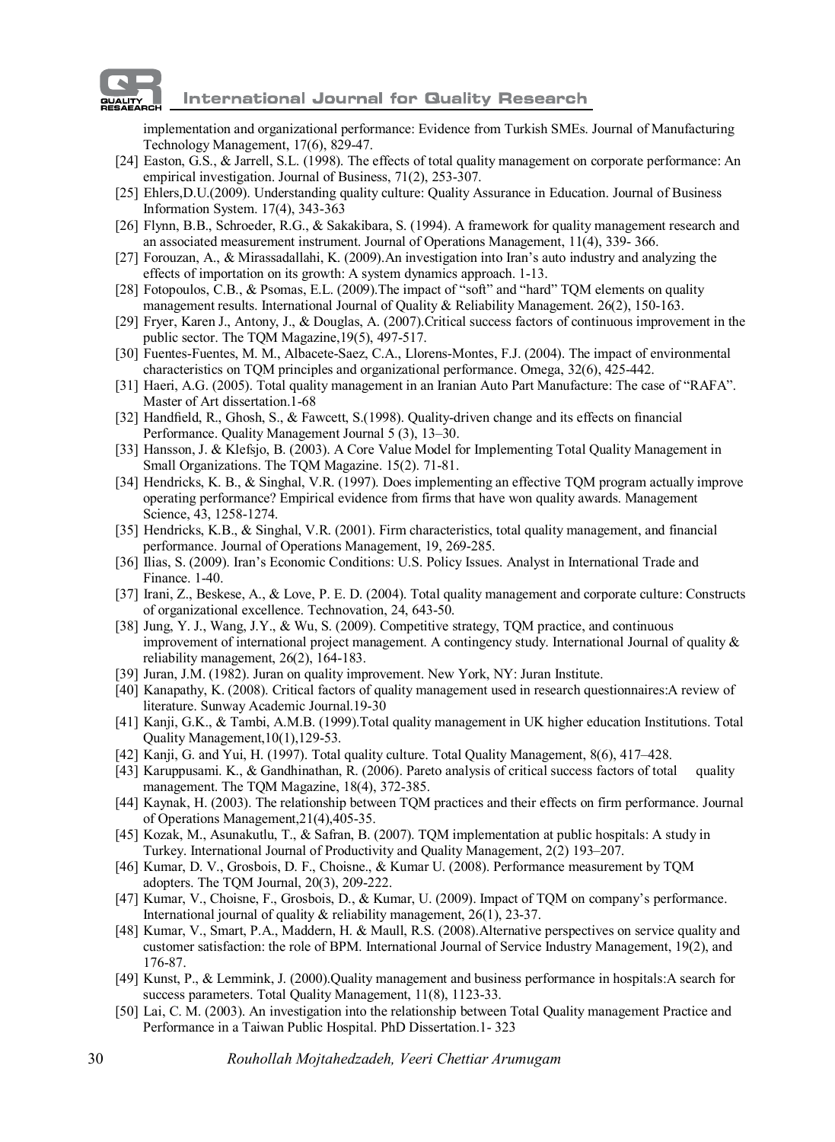# **International Journal for Quality Research**

implementation and organizational performance: Evidence from Turkish SMEs. Journal of Manufacturing Technology Management, 17(6), 829-47.

- [24] Easton, G.S., & Jarrell, S.L. (1998). The effects of total quality management on corporate performance: An empirical investigation. Journal of Business, 71(2), 253-307.
- [25] Ehlers,D.U.(2009). Understanding quality culture: Quality Assurance in Education. Journal of Business Information System. 17(4), 343-363
- [26] Flynn, B.B., Schroeder, R.G., & Sakakibara, S. (1994). A framework for quality management research and an associated measurement instrument. Journal of Operations Management, 11(4), 339- 366.
- [27] Forouzan, A., & Mirassadallahi, K. (2009).An investigation into Iran's auto industry and analyzing the effects of importation on its growth: A system dynamics approach. 1-13.
- [28] Fotopoulos, C.B., & Psomas, E.L. (2009).The impact of "soft" and "hard" TQM elements on quality management results. International Journal of Quality & Reliability Management. 26(2), 150-163.
- [29] Fryer, Karen J., Antony, J., & Douglas, A. (2007).Critical success factors of continuous improvement in the public sector. The TQM Magazine,19(5), 497-517.
- [30] Fuentes-Fuentes, M. M., Albacete-Saez, C.A., Llorens-Montes, F.J. (2004). The impact of environmental characteristics on TQM principles and organizational performance. Omega, 32(6), 425-442.
- [31] Haeri, A.G. (2005). Total quality management in an Iranian Auto Part Manufacture: The case of "RAFA". Master of Art dissertation.1-68
- [32] Handfield, R., Ghosh, S., & Fawcett, S.(1998). Quality-driven change and its effects on financial Performance. Quality Management Journal 5 (3), 13–30.
- [33] Hansson, J. & Klefsjo, B. (2003). A Core Value Model for Implementing Total Quality Management in Small Organizations. The TQM Magazine. 15(2). 71-81.
- [34] Hendricks, K. B., & Singhal, V.R. (1997). Does implementing an effective TQM program actually improve operating performance? Empirical evidence from firms that have won quality awards. Management Science, 43, 1258-1274.
- [35] Hendricks, K.B., & Singhal, V.R. (2001). Firm characteristics, total quality management, and financial performance. Journal of Operations Management, 19, 269-285.
- [36] Ilias, S. (2009). Iran's Economic Conditions: U.S. Policy Issues. Analyst in International Trade and Finance. 1-40.
- [37] Irani, Z., Beskese, A., & Love, P. E. D. (2004). Total quality management and corporate culture: Constructs of organizational excellence. Technovation, 24, 643-50.
- [38] Jung, Y. J., Wang, J.Y., & Wu, S. (2009). Competitive strategy, TQM practice, and continuous improvement of international project management. A contingency study. International Journal of quality & reliability management, 26(2), 164-183.
- [39] Juran, J.M. (1982). Juran on quality improvement. New York, NY: Juran Institute.
- [40] Kanapathy, K. (2008). Critical factors of quality management used in research questionnaires:A review of literature. Sunway Academic Journal.19-30
- [41] Kanji, G.K., & Tambi, A.M.B. (1999).Total quality management in UK higher education Institutions. Total Quality Management,10(1),129-53.
- [42] Kanji, G. and Yui, H. (1997). Total quality culture. Total Quality Management, 8(6), 417–428.
- [43] Karuppusami. K., & Gandhinathan, R. (2006). Pareto analysis of critical success factors of total quality management. The TQM Magazine, 18(4), 372-385.
- [44] Kaynak, H. (2003). The relationship between TQM practices and their effects on firm performance. Journal of Operations Management,21(4),405-35.
- [45] Kozak, M., Asunakutlu, T., & Safran, B. (2007). TQM implementation at public hospitals: A study in Turkey. International Journal of Productivity and Quality Management, 2(2) 193–207.
- [46] Kumar, D. V., Grosbois, D. F., Choisne., & Kumar U. (2008). Performance measurement by TQM adopters. The TQM Journal, 20(3), 209-222.
- [47] Kumar, V., Choisne, F., Grosbois, D., & Kumar, U. (2009). Impact of TQM on company's performance. International journal of quality & reliability management, 26(1), 23-37.
- [48] Kumar, V., Smart, P.A., Maddern, H. & Maull, R.S. (2008).Alternative perspectives on service quality and customer satisfaction: the role of BPM. International Journal of Service Industry Management, 19(2), and 176-87.
- [49] Kunst, P., & Lemmink, J. (2000).Quality management and business performance in hospitals:A search for success parameters. Total Quality Management, 11(8), 1123-33.
- [50] Lai, C. M. (2003). An investigation into the relationship between Total Quality management Practice and Performance in a Taiwan Public Hospital. PhD Dissertation.1- 323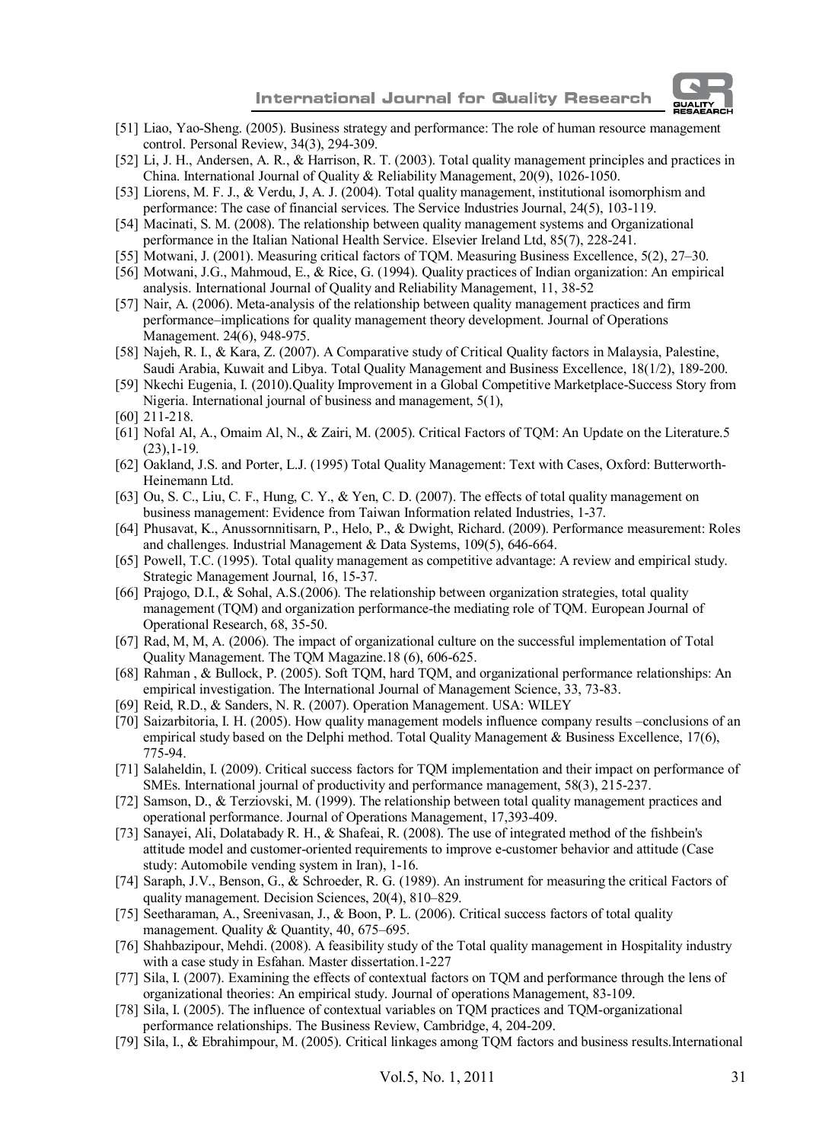

- [51] Liao, Yao-Sheng. (2005). Business strategy and performance: The role of human resource management control. Personal Review, 34(3), 294-309.
- [52] Li, J. H., Andersen, A. R., & Harrison, R. T. (2003). Total quality management principles and practices in China. International Journal of Quality & Reliability Management, 20(9), 1026-1050.
- [53] Liorens, M. F. J., & Verdu, J, A. J. (2004). Total quality management, institutional isomorphism and performance: The case of financial services. The Service Industries Journal, 24(5), 103-119.
- [54] Macinati, S. M. (2008). The relationship between quality management systems and Organizational performance in the Italian National Health Service. Elsevier Ireland Ltd, 85(7), 228-241.
- [55] Motwani, J. (2001). Measuring critical factors of TQM. Measuring Business Excellence, 5(2), 27–30.
- [56] Motwani, J.G., Mahmoud, E., & Rice, G. (1994). Quality practices of Indian organization: An empirical analysis. International Journal of Quality and Reliability Management, 11, 38-52
- [57] Nair, A. (2006). Meta-analysis of the relationship between quality management practices and firm performance–implications for quality management theory development. Journal of Operations Management. 24(6), 948-975.
- [58] Najeh, R. I., & Kara, Z. (2007). A Comparative study of Critical Quality factors in Malaysia, Palestine, Saudi Arabia, Kuwait and Libya. Total Quality Management and Business Excellence, 18(1/2), 189-200.
- [59] Nkechi Eugenia, I. (2010).Quality Improvement in a Global Competitive Marketplace-Success Story from Nigeria. International journal of business and management, 5(1),
- [60] 211-218.
- [61] Nofal Al, A., Omaim Al, N., & Zairi, M. (2005). Critical Factors of TQM: An Update on the Literature.5 (23),1-19.
- [62] Oakland, J.S. and Porter, L.J. (1995) Total Quality Management: Text with Cases, Oxford: Butterworth-Heinemann Ltd.
- [63] Ou, S. C., Liu, C. F., Hung, C. Y., & Yen, C. D. (2007). The effects of total quality management on business management: Evidence from Taiwan Information related Industries, 1-37.
- [64] Phusavat, K., Anussornnitisarn, P., Helo, P., & Dwight, Richard. (2009). Performance measurement: Roles and challenges. Industrial Management & Data Systems, 109(5), 646-664.
- [65] Powell, T.C. (1995). Total quality management as competitive advantage: A review and empirical study. Strategic Management Journal, 16, 15-37.
- [66] Prajogo, D.I., & Sohal, A.S.(2006). The relationship between organization strategies, total quality management (TQM) and organization performance-the mediating role of TQM. European Journal of Operational Research, 68, 35-50.
- [67] Rad, M, M, A. (2006). The impact of organizational culture on the successful implementation of Total Quality Management. The TQM Magazine.18 (6), 606-625.
- [68] Rahman , & Bullock, P. (2005). Soft TQM, hard TQM, and organizational performance relationships: An empirical investigation. The International Journal of Management Science, 33, 73-83.
- [69] Reid, R.D., & Sanders, N. R. (2007). Operation Management. USA: WILEY
- [70] Saizarbitoria, I. H. (2005). How quality management models influence company results –conclusions of an empirical study based on the Delphi method. Total Quality Management & Business Excellence, 17(6), 775-94.
- [71] Salaheldin, I. (2009). Critical success factors for TOM implementation and their impact on performance of SMEs. International journal of productivity and performance management, 58(3), 215-237.
- [72] Samson, D., & Terziovski, M. (1999). The relationship between total quality management practices and operational performance. Journal of Operations Management, 17,393-409.
- [73] Sanayei, Ali, Dolatabady R. H., & Shafeai, R. (2008). The use of integrated method of the fishbein's attitude model and customer-oriented requirements to improve e-customer behavior and attitude (Case study: Automobile vending system in Iran), 1-16.
- [74] Saraph, J.V., Benson, G., & Schroeder, R. G. (1989). An instrument for measuring the critical Factors of quality management. Decision Sciences, 20(4), 810–829.
- [75] Seetharaman, A., Sreenivasan, J., & Boon, P. L. (2006). Critical success factors of total quality management. Quality & Quantity, 40, 675–695.
- [76] Shahbazipour, Mehdi. (2008). A feasibility study of the Total quality management in Hospitality industry with a case study in Esfahan. Master dissertation.1-227
- [77] Sila, I. (2007). Examining the effects of contextual factors on TQM and performance through the lens of organizational theories: An empirical study. Journal of operations Management, 83-109.
- [78] Sila, I. (2005). The influence of contextual variables on TQM practices and TQM-organizational performance relationships. The Business Review, Cambridge, 4, 204-209.
- [79] Sila, I., & Ebrahimpour, M. (2005). Critical linkages among TQM factors and business results.International